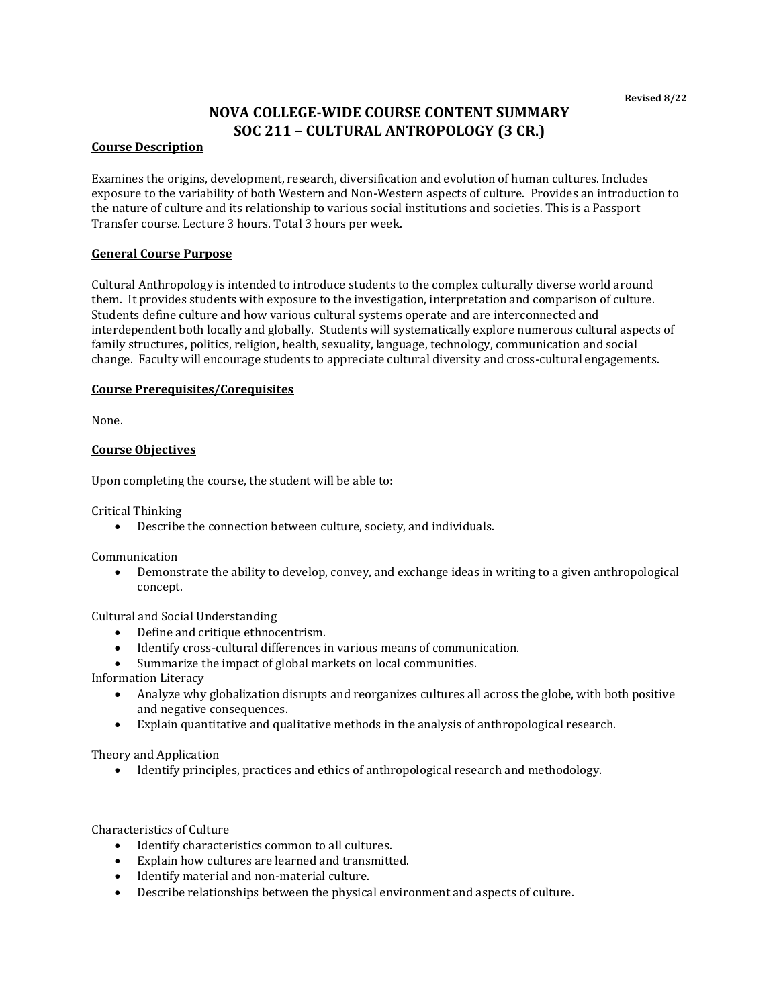# **NOVA COLLEGE-WIDE COURSE CONTENT SUMMARY SOC 211 – CULTURAL ANTROPOLOGY (3 CR.)**

#### **Course Description**

Examines the origins, development, research, diversification and evolution of human cultures. Includes exposure to the variability of both Western and Non-Western aspects of culture. Provides an introduction to the nature of culture and its relationship to various social institutions and societies. This is a Passport Transfer course. Lecture 3 hours. Total 3 hours per week.

#### **General Course Purpose**

Cultural Anthropology is intended to introduce students to the complex culturally diverse world around them. It provides students with exposure to the investigation, interpretation and comparison of culture. Students define culture and how various cultural systems operate and are interconnected and interdependent both locally and globally. Students will systematically explore numerous cultural aspects of family structures, politics, religion, health, sexuality, language, technology, communication and social change. Faculty will encourage students to appreciate cultural diversity and cross-cultural engagements.

## **Course Prerequisites/Corequisites**

None.

## **Course Objectives**

Upon completing the course, the student will be able to:

Critical Thinking

• Describe the connection between culture, society, and individuals.

Communication

• Demonstrate the ability to develop, convey, and exchange ideas in writing to a given anthropological concept.

Cultural and Social Understanding

- Define and critique ethnocentrism.
- Identify cross-cultural differences in various means of communication.
- Summarize the impact of global markets on local communities.

Information Literacy

- Analyze why globalization disrupts and reorganizes cultures all across the globe, with both positive and negative consequences.
- Explain quantitative and qualitative methods in the analysis of anthropological research.

Theory and Application

• Identify principles, practices and ethics of anthropological research and methodology.

Characteristics of Culture

- Identify characteristics common to all cultures.
- Explain how cultures are learned and transmitted.
- Identify material and non-material culture.
- Describe relationships between the physical environment and aspects of culture.